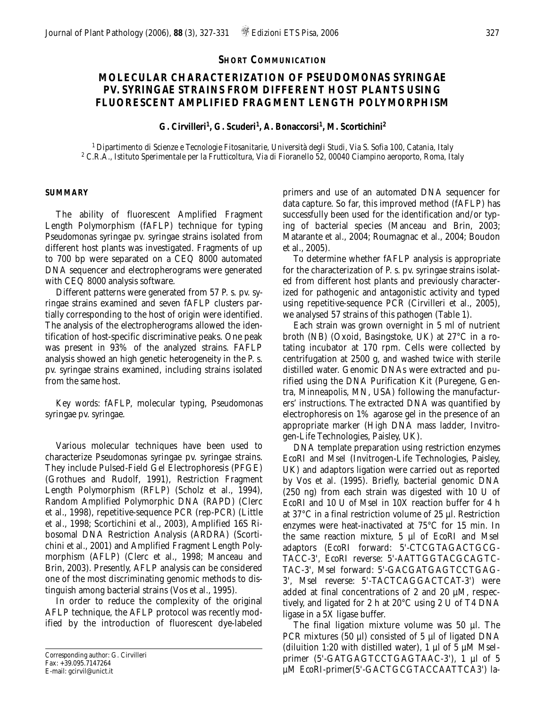## **SHORT COMMUNICATION**

# **MOLECULAR CHARACTERIZATION OF** *PSEUDOMONAS SYRINGAE* **PV.** *SYRINGAE* **STRAINS FROM DIFFERENT HOST PLANTS USING FLUORESCENT AMPLIFIED FRAGMENT LENGTH POLYMORPHISM**

**G. Cirvilleri1, G. Scuderi1, A. Bonaccorsi1, M. Scortichini2**

*1 Dipartimento di Scienze e Tecnologie Fitosanitarie, Università degli Studi, Via S. Sofia 100, Catania, Italy <sup>2</sup> C.R.A., Istituto Sperimentale per la Frutticoltura, Via di Fioranello 52, 00040 Ciampino aeroporto, Roma, Italy*

#### **SUMMARY**

The ability of fluorescent Amplified Fragment Length Polymorphism (fAFLP) technique for typing *Pseudomonas syringae* pv. *syringae* strains isolated from different host plants was investigated. Fragments of up to 700 bp were separated on a CEQ 8000 automated DNA sequencer and electropherograms were generated with CEQ 8000 analysis software.

Different patterns were generated from 57 *P. s.* pv. *syringae* strains examined and seven fAFLP clusters partially corresponding to the host of origin were identified. The analysis of the electropherograms allowed the identification of host-specific discriminative peaks. One peak was present in 93% of the analyzed strains. FAFLP analysis showed an high genetic heterogeneity in the *P. s.* pv. *syringae* strains examined, including strains isolated from the same host.

*Key words*: fAFLP, molecular typing, *Pseudomonas syringae* pv. *syringae.*

Various molecular techniques have been used to characterize *Pseudomonas syringae* pv. *syringae* strains. They include Pulsed-Field Gel Electrophoresis (PFGE) (Grothues and Rudolf, 1991), Restriction Fragment Length Polymorphism (RFLP) (Scholz *et al*., 1994), Random Amplified Polymorphic DNA (RAPD) (Clerc *et al*., 1998), repetitive-sequence PCR (rep-PCR) (Little *et al*., 1998; Scortichini *et al*., 2003), Amplified 16S Ribosomal DNA Restriction Analysis (ARDRA) (Scortichini *et al.*, 2001) and Amplified Fragment Length Polymorphism (AFLP) (Clerc *et al*., 1998; Manceau and Brin, 2003). Presently, AFLP analysis can be considered one of the most discriminating genomic methods to distinguish among bacterial strains (Vos *et al.*, 1995).

In order to reduce the complexity of the original AFLP technique, the AFLP protocol was recently modified by the introduction of fluorescent dye-labeled primers and use of an automated DNA sequencer for data capture. So far, this improved method (fAFLP) has successfully been used for the identification and/or typing of bacterial species (Manceau and Brin, 2003; Matarante *et al.*, 2004; Roumagnac *et al.*, 2004; Boudon *et al.*, 2005).

To determine whether fAFLP analysis is appropriate for the characterization of *P. s*. pv. *syringae* strains isolated from different host plants and previously characterized for pathogenic and antagonistic activity and typed using repetitive-sequence PCR (Cirvilleri *et al*., 2005), we analysed 57 strains of this pathogen (Table 1).

Each strain was grown overnight in 5 ml of nutrient broth (NB) (Oxoid, Basingstoke, UK) at 27°C in a rotating incubator at 170 rpm. Cells were collected by centrifugation at 2500 g, and washed twice with sterile distilled water. Genomic DNAs were extracted and purified using the DNA Purification Kit (Puregene, Gentra, Minneapolis, MN, USA) following the manufacturers' instructions. The extracted DNA was quantified by electrophoresis on 1% agarose gel in the presence of an appropriate marker (High DNA mass ladder, Invitrogen-Life Technologies, Paisley, UK).

DNA template preparation using restriction enzymes *Eco*RI and *Mse*I (Invitrogen-Life Technologies, Paisley, UK) and adaptors ligation were carried out as reported by Vos *et al*. (1995). Briefly, bacterial genomic DNA (250 ng) from each strain was digested with 10 U of *Eco*RI and 10 U of *Mse*I in 10X reaction buffer for 4 h at 37°C in a final restriction volume of 25 µl. Restriction enzymes were heat-inactivated at 75°C for 15 min. In the same reaction mixture, 5 µl of *Eco*RI and *Mse*I adaptors (*Eco*RI forward: 5'-CTCGTAGACTGCG-TACC-3', *Eco*RI reverse: 5'-AATTGGTACGCAGTC-TAC-3', *Mse*I forward: 5'-GACGATGAGTCCTGAG-3', *Mse*I reverse: 5'-TACTCAGGACTCAT-3') were added at final concentrations of 2 and 20 µM, respectively, and ligated for 2 h at 20°C using 2 U of T4 DNA ligase in a 5X ligase buffer.

The final ligation mixture volume was 50 µl. The PCR mixtures (50  $\mu$ l) consisted of 5  $\mu$ l of ligated DNA (diluition 1:20 with distilled water), 1 µl of 5 µM *Mse*Iprimer (5'-GATGAGTCCTGAGTAAC-3'), 1 µl of 5 µM *Eco*RI-primer(5'-GACTGCGTACCAATTCA3') la-

*Corresponding author*: G. Cirvilleri Fax: +39.095.7147264 E-mail: gcirvil@unict.it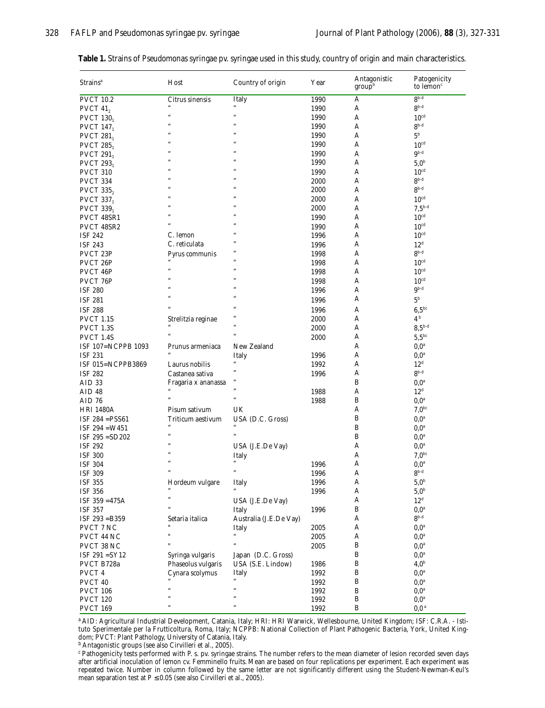| Strains <sup>a</sup>                                       | Host                | Country of origin           | Year         | Antagonistic<br>group <sup>b</sup> | Patogenicity<br>to lemon <sup>c</sup> |
|------------------------------------------------------------|---------------------|-----------------------------|--------------|------------------------------------|---------------------------------------|
| <b>PVCT 10.2</b>                                           | Citrus sinensis     | Italy                       | 1990         | А                                  | $8b-d$                                |
| PVCT $41_2$                                                |                     |                             | 1990         | А                                  | $8^{b-d}$                             |
| PVCT $130_1$                                               | $\epsilon$          | $\epsilon$                  | 1990         | A                                  | 10 <sup>cd</sup>                      |
| <b>PVCT 147</b>                                            | $\epsilon$          |                             | 1990         | А                                  | $8^{b-d}$                             |
| PVCT $281_1$                                               |                     |                             | 1990         | А                                  | 5 <sup>b</sup>                        |
| <b>PVCT 285</b>                                            | é.                  | $\epsilon$                  | 1990         | А                                  | 10 <sup>cd</sup>                      |
| PVCT $291_1$                                               | $\epsilon$          | $\epsilon$                  | 1990         | А                                  | $9b-d$                                |
| PVCT $293_1$                                               |                     |                             | 1990         | А                                  | 5.0 <sup>b</sup>                      |
| <b>PVCT 310</b>                                            | é.                  |                             | 1990         | А                                  | 10 <sup>cd</sup>                      |
| PVCT 334                                                   | £.                  |                             | 2000         | А                                  | $8^{b-d}$                             |
| <b>PVCT 335,</b>                                           | $\epsilon$          | $\epsilon$                  | 2000         | А                                  | $8b-d$                                |
| <b>PVCT 337</b>                                            | $\epsilon$          | $\epsilon$                  | 2000         | А                                  | 10 <sup>cd</sup>                      |
| <b>PVCT 339</b> <sub>1</sub>                               |                     |                             | 2000         | А                                  | $7,5^{\rm b-d}$                       |
| PVCT 48SR1                                                 |                     |                             | 1990         | А                                  | 10 <sup>cd</sup>                      |
| PVCT 48SR2                                                 |                     |                             | 1990         | А                                  | 10 <sup>cd</sup>                      |
| <b>ISF 242</b>                                             | C. lemon            |                             | 1996         | А                                  | 10 <sup>cd</sup>                      |
| <b>ISF 243</b>                                             | C. reticulata       |                             | 1996         | А                                  | 12 <sup>d</sup>                       |
| PVCT 23P                                                   | Pyrus communis      |                             | 1998         | А                                  | $8b-d$                                |
| PVCT 26P                                                   |                     | $\epsilon$                  | 1998         | А                                  | 10 <sup>cd</sup>                      |
| PVCT 46P                                                   | $\epsilon$          | $\epsilon$                  | 1998         | А                                  | 10 <sup>cd</sup>                      |
| PVCT 76P                                                   |                     |                             | 1998         | А                                  | 10 <sup>cd</sup>                      |
| <b>ISF 280</b>                                             |                     | $\epsilon$                  | 1996         | А                                  | $9^{b-d}$                             |
| <b>ISF 281</b>                                             | $\epsilon$          | $\epsilon$                  | 1996         | А                                  | 5 <sup>b</sup>                        |
| <b>ISF 288</b>                                             |                     |                             | 1996         | А                                  | $6,5^{bc}$                            |
| PVCT 1.1S                                                  | Strelitzia reginae  |                             | 2000         | А                                  | 4 <sup>b</sup>                        |
| PVCT 1.3S                                                  |                     | $\epsilon$                  | 2000         | А                                  | $8,5^{\rm b-d}$                       |
| PVCT 1.4S                                                  | $\epsilon$          | $\alpha$                    | 2000         | А                                  | $5,5^{\rm bc}$                        |
| ISF 107=NCPPB 1093                                         | Prunus armeniaca    | New Zealand                 |              | А                                  | 0.0 <sup>a</sup>                      |
| <b>ISF 231</b>                                             |                     | Italy                       | 1996         | А                                  | $0,0^a$                               |
| ISF 015=NCPPB3869                                          | Laurus nobilis      | $\epsilon\epsilon$          | 1992         | A                                  | 12 <sup>d</sup>                       |
| <b>ISF 282</b>                                             | Castanea sativa     |                             | 1996         | А                                  | $8b-d$                                |
| AID <sub>33</sub>                                          | Fragaria x ananassa | $\epsilon$                  |              | B                                  | $0,0^a$                               |
| AID 48                                                     |                     | $\epsilon\epsilon$          | 1988         | Α                                  | $12^d$                                |
| AID 76                                                     | $\epsilon$          | $\boldsymbol{\mu}$          | 1988         | В                                  | $0,0^a$                               |
| <b>HRI 1480A</b>                                           | Pisum sativum       | UK                          |              | А                                  | 7.0 <sup>bc</sup>                     |
| ISF $284 = PSS61$                                          | Triticum aestivum   | USA (D.C. Gross)            |              | B                                  | $0,0^a$                               |
| $ISF 294 = W451$                                           | $\epsilon$          | $\epsilon$                  |              | B                                  | $0,0^{\rm a}$                         |
| ISF 295 = SD202                                            | $\epsilon$          | $\boldsymbol{\mu}$          |              | B                                  | $0,0^a$                               |
| <b>ISF 292</b>                                             | $\epsilon$          | USA (J.E.De Vay)            |              | А                                  | $0,0^a$                               |
| <b>ISF 300</b>                                             | £6                  | Italy                       |              | А                                  | $7,0^{\rm bc}$                        |
| <b>ISF 304</b>                                             | $\epsilon$          |                             | 1996         | А                                  | $0,0^a$                               |
| <b>ISF 309</b>                                             | $\epsilon$          | $\epsilon\epsilon$          | 1996         | A                                  | $8^{\rm b\text{-}d}$                  |
| <b>ISF 355</b>                                             | Hordeum vulgare     | Italy                       | 1996         | A                                  | 5.0 <sup>b</sup>                      |
| <b>ISF 356</b>                                             |                     |                             | 1996         | A                                  | $5,0^{\rm b}$                         |
|                                                            | ċ6                  |                             |              | А                                  | 12 <sup>d</sup>                       |
| ISF 359 = 475A<br><b>ISF 357</b>                           | £6                  | USA (J.E.De Vay)<br>Italy   | 1996         | B                                  | $0,0^a$                               |
|                                                            |                     |                             |              | А                                  | $8^{b-d}$                             |
| ISF 293 = B359                                             | Setaria italica     | Australia (J.E.De Vay)      |              | А                                  |                                       |
| PVCT 7 NC                                                  | $^{\prime\prime}$   | Italy<br>$\boldsymbol{\mu}$ | 2005         |                                    | $0,0^a$                               |
| $\ensuremath{\mathsf{PVCT}}$ 44 $\ensuremath{\mathsf{NC}}$ |                     | $\boldsymbol{\mu}$          | 2005<br>2005 | А<br>B                             | $0,0^{\rm a}$<br>$0,0^{\rm a}$        |
| PVCT 38 NC                                                 |                     |                             |              | $\, {\bf B}$                       |                                       |
| ISF 291 = SY12<br>PVCT B728a                               | Syringa vulgaris    | Japan (D.C. Gross)          |              | B                                  | $0,0^a$<br>4.0 <sup>b</sup>           |
|                                                            | Phaseolus vulgaris  | USA (S.E. Lindow)           | 1986         |                                    |                                       |
| PVCT <sub>4</sub>                                          | Cynara scolymus     | Italy<br>$\epsilon\epsilon$ | 1992         | B                                  | $0,0^a$                               |
| PVCT 40                                                    | $\epsilon$          | $\epsilon\epsilon$          | 1992         | B                                  | $0.0^{\mathrm{a}}$<br>$0,0^a$         |
| <b>PVCT 106</b><br><b>PVCT 120</b>                         |                     | $\epsilon\epsilon$          | 1992<br>1992 | B<br>B                             | $0,0^{\mathrm{a}}$                    |
| <b>PVCT 169</b>                                            | $\epsilon$          | $\epsilon\epsilon$          | 1992         | B                                  | $0,0^{\mathrm{a}}$                    |
|                                                            |                     |                             |              |                                    |                                       |

**Table 1.** Strains of *Pseudomonas syringae* pv. *syringae* used in this study, country of origin and main characteristics.

a AID: Agricultural Industrial Development, Catania, Italy; HRI: HRI Warwick, Wellesbourne, United Kingdom; ISF: C.R.A. - Istituto Sperimentale per la Frutticoltura, Roma, Italy; NCPPB: National Collection of Plant Pathogenic Bacteria, York, United Kingdom; PVCT: Plant Pathology, University of Catania, Italy.

b Antagonistic groups (see also Cirvilleri *et al.*, 2005).

c Pathogenicity tests performed with *P. s.* pv. *syringae* strains. The number refers to the mean diameter of lesion recorded seven days after artificial inoculation of lemon cv. Femminello fruits. Mean are based on four replications per experiment. Each experiment was repeated twice. Number in column followed by the same letter are not significantly different using the Student-Newman-Keul's mean separation test at  $P \le 0.05$  (see also Cirvilleri *et al.*, 2005).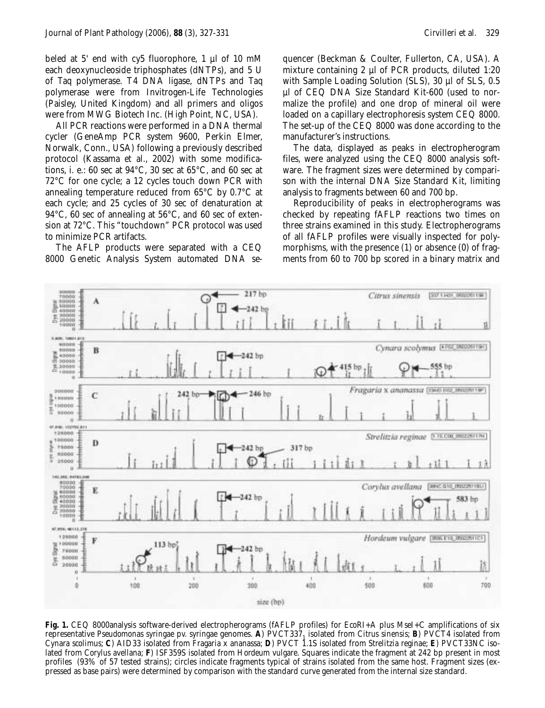beled at 5' end with cy5 fluorophore, 1 µl of 10 mM each deoxynucleoside triphosphates (dNTPs), and 5 U of *Taq* polymerase. T4 DNA ligase, dNTPs and *Taq* polymerase were from Invitrogen-Life Technologies (Paisley, United Kingdom) and all primers and oligos were from MWG Biotech Inc. (High Point, NC, USA).

All PCR reactions were performed in a DNA thermal cycler (GeneAmp PCR system 9600, Perkin Elmer, Norwalk, Conn., USA) following a previously described protocol (Kassama *et al.*, 2002) with some modifications, i. e.: 60 sec at 94°C, 30 sec at 65°C, and 60 sec at 72°C for one cycle; a 12 cycles touch down PCR with annealing temperature reduced from 65°C by 0.7°C at each cycle; and 25 cycles of 30 sec of denaturation at 94°C, 60 sec of annealing at 56°C, and 60 sec of extension at 72°C. This "touchdown" PCR protocol was used to minimize PCR artifacts.

The AFLP products were separated with a CEQ 8000 Genetic Analysis System automated DNA sequencer (Beckman & Coulter, Fullerton, CA, USA). A mixture containing 2 µl of PCR products, diluted 1:20 with Sample Loading Solution (SLS), 30 µl of SLS, 0.5 µl of CEQ DNA Size Standard Kit-600 (used to normalize the profile) and one drop of mineral oil were loaded on a capillary electrophoresis system CEQ 8000. The set-up of the CEQ 8000 was done according to the manufacturer's instructions.

The data, displayed as peaks in electropherogram files, were analyzed using the CEQ 8000 analysis software. The fragment sizes were determined by comparison with the internal DNA Size Standard Kit, limiting analysis to fragments between 60 and 700 bp.

Reproducibility of peaks in electropherograms was checked by repeating fAFLP reactions two times on three strains examined in this study. Electropherograms of all fAFLP profiles were visually inspected for polymorphisms, with the presence (1) or absence (0) of fragments from 60 to 700 bp scored in a binary matrix and



**Fig. 1.** CEQ 8000analysis software-derived electropherograms (fAFLP profiles) for *Eco*RI+A plus *Mse*I+C amplifications of six representative *Pseudomonas syringae* pv. *syringae* genomes. **A**) PVCT3371 isolated from *Citrus sinensis*; **B**) PVCT4 isolated from *Cynara scolimus*; **C**) AID33 isolated from *Fragaria* x *ananassa*; **D**) PVCT 1.1S isolated from *Strelitzia reginae*; **E**) PVCT33NC isolated from *Corylus avellana*; **F**) ISF359S isolated from *Hordeum vulgare*. Squares indicate the fragment at 242 bp present in most profiles (93% of 57 tested strains); circles indicate fragments typical of strains isolated from the same host. Fragment sizes (expressed as base pairs) were determined by comparison with the standard curve generated from the internal size standard.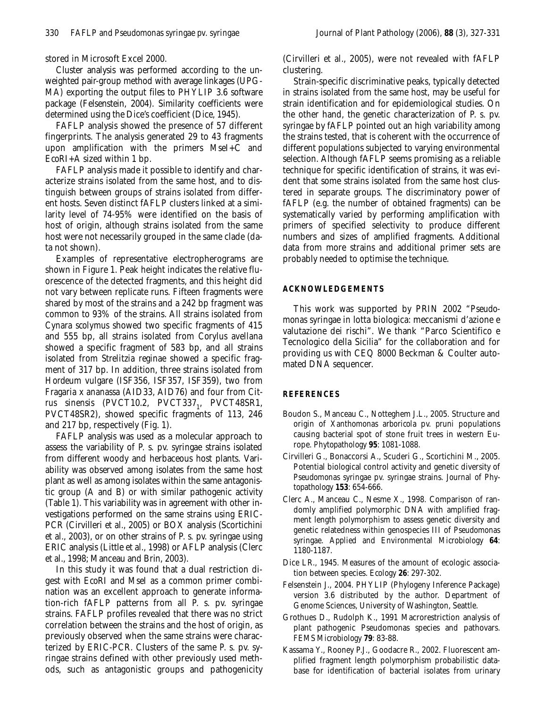stored in Microsoft Excel 2000.

Cluster analysis was performed according to the unweighted pair-group method with average linkages (UPG-MA) exporting the output files to PHYLIP 3.6 software package (Felsenstein, 2004). Similarity coefficients were determined using the Dice's coefficient (Dice, 1945).

FAFLP analysis showed the presence of 57 different fingerprints. The analysis generated 29 to 43 fragments upon amplification with the primers *Mse*I+C and *Eco*RI+A sized within 1 bp.

FAFLP analysis made it possible to identify and characterize strains isolated from the same host, and to distinguish between groups of strains isolated from different hosts. Seven distinct fAFLP clusters linked at a similarity level of 74-95% were identified on the basis of host of origin, although strains isolated from the same host were not necessarily grouped in the same clade (data not shown).

Examples of representative electropherograms are shown in Figure 1. Peak height indicates the relative fluorescence of the detected fragments, and this height did not vary between replicate runs. Fifteen fragments were shared by most of the strains and a 242 bp fragment was common to 93% of the strains. All strains isolated from *Cynara scolymus* showed two specific fragments of 415 and 555 bp, all strains isolated from *Corylus avellana* showed a specific fragment of 583 bp, and all strains isolated from *Strelitzia reginae* showed a specific fragment of 317 bp. In addition, three strains isolated from *Hordeum vulgare* (ISF356, ISF357, ISF359), two from *Fragaria x ananassa* (AID33, AID76) and four from *Cit*rus sinensis (PVCT10.2, PVCT337<sub>1</sub>, PVCT48SR1, PVCT48SR2), showed specific fragments of 113, 246 and 217 bp, respectively (Fig. 1).

FAFLP analysis was used as a molecular approach to assess the variability of *P. s.* pv. *syringae* strains isolated from different woody and herbaceous host plants. Variability was observed among isolates from the same host plant as well as among isolates within the same antagonistic group (A and B) or with similar pathogenic activity (Table 1). This variability was in agreement with other investigations performed on the same strains using ERIC-PCR (Cirvilleri *et al.*, 2005) or BOX analysis (Scortichini *et al*., 2003), or on other strains of *P. s.* pv. *syringae* using ERIC analysis (Little *et al.*, 1998) or AFLP analysis (Clerc *et al*., 1998; Manceau and Brin, 2003).

In this study it was found that a dual restriction digest with *Eco*RI and *Mse*I as a common primer combination was an excellent approach to generate information-rich fAFLP patterns from all *P. s.* pv. *syringae* strains. FAFLP profiles revealed that there was no strict correlation between the strains and the host of origin, as previously observed when the same strains were characterized by ERIC-PCR. Clusters of the same *P. s.* pv. *syringae* strains defined with other previously used methods, such as antagonistic groups and pathogenicity

(Cirvilleri *et al.*, 2005), were not revealed with fAFLP clustering.

Strain-specific discriminative peaks, typically detected in strains isolated from the same host, may be useful for strain identification and for epidemiological studies. On the other hand, the genetic characterization of *P. s*. pv. *syringae* by fAFLP pointed out an high variability among the strains tested, that is coherent with the occurrence of different populations subjected to varying environmental selection. Although fAFLP seems promising as a reliable technique for specific identification of strains, it was evident that some strains isolated from the same host clustered in separate groups. The discriminatory power of fAFLP (e.g. the number of obtained fragments) can be systematically varied by performing amplification with primers of specified selectivity to produce different numbers and sizes of amplified fragments. Additional data from more strains and additional primer sets are probably needed to optimise the technique.

## **ACKNOWLEDGEMENTS**

This work was supported by PRIN 2002 "*Pseudomonas syringae* in lotta biologica: meccanismi d'azione e valutazione dei rischi". We thank "Parco Scientifico e Tecnologico della Sicilia" for the collaboration and for providing us with CEQ 8000 Beckman & Coulter automated DNA sequencer.

## **REFERENCES**

- Boudon S., Manceau C., Notteghem J.L., 2005. Structure and origin of *Xanthomonas arboricola* pv. *pruni* populations causing bacterial spot of stone fruit trees in western Europe. *Phytopathology* **95**: 1081-1088.
- Cirvilleri G., Bonaccorsi A., Scuderi G., Scortichini M., 2005. Potential biological control activity and genetic diversity of *Pseudomonas syringae* pv. *syringae* strains. *Journal of Phytopathology* **153**: 654-666.
- Clerc A., Manceau C., Nesme X., 1998. Comparison of randomly amplified polymorphic DNA with amplified fragment length polymorphism to assess genetic diversity and genetic relatedness within genospecies III of *Pseudomonas syringae*. *Applied and Environmental Microbiology* **64**: 1180-1187.
- Dice LR., 1945. Measures of the amount of ecologic association between species. *Ecology* **26**: 297-302.
- Felsenstein J., 2004. PHYLIP (Phylogeny Inference Package) version 3.6 distributed by the author. Department of Genome Sciences, University of Washington, Seattle.
- Grothues D., Rudolph K., 1991 Macrorestriction analysis of plant pathogenic Pseudomonas species and pathovars. *FEMS Microbiology* **79**: 83-88.
- Kassama Y., Rooney P.J., Goodacre R., 2002. Fluorescent amplified fragment length polymorphism probabilistic database for identification of bacterial isolates from urinary